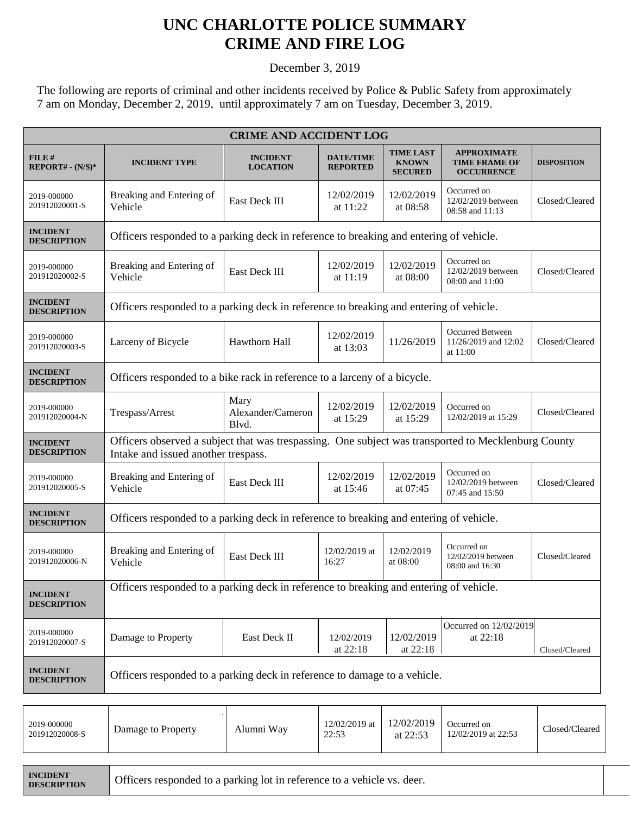## **UNC CHARLOTTE POLICE SUMMARY CRIME AND FIRE LOG**

December 3, 2019

The following are reports of criminal and other incidents received by Police & Public Safety from approximately 7 am on Monday, December 2, 2019, until approximately 7 am on Tuesday, December 3, 2019.

| <b>CRIME AND ACCIDENT LOG</b>         |                                                                                                                                            |                                    |                                                                                           |                                                                    |                                                                 |                    |  |  |
|---------------------------------------|--------------------------------------------------------------------------------------------------------------------------------------------|------------------------------------|-------------------------------------------------------------------------------------------|--------------------------------------------------------------------|-----------------------------------------------------------------|--------------------|--|--|
| FILE#<br>$REPORT# - (N/S)*$           | <b>INCIDENT TYPE</b>                                                                                                                       | <b>INCIDENT</b><br><b>LOCATION</b> | <b>TIME LAST</b><br><b>DATE/TIME</b><br><b>KNOWN</b><br><b>REPORTED</b><br><b>SECURED</b> |                                                                    | <b>APPROXIMATE</b><br><b>TIME FRAME OF</b><br><b>OCCURRENCE</b> | <b>DISPOSITION</b> |  |  |
| 2019-000000<br>201912020001-S         | Breaking and Entering of<br>Vehicle                                                                                                        | East Deck III                      | 12/02/2019<br>at 11:22                                                                    | 12/02/2019<br>at 08:58                                             | Occurred on<br>12/02/2019 between<br>08:58 and 11:13            | Closed/Cleared     |  |  |
| <b>INCIDENT</b><br><b>DESCRIPTION</b> | Officers responded to a parking deck in reference to breaking and entering of vehicle.                                                     |                                    |                                                                                           |                                                                    |                                                                 |                    |  |  |
| 2019-000000<br>201912020002-S         | Breaking and Entering of<br>East Deck III<br>Vehicle                                                                                       |                                    | 12/02/2019<br>at 11:19                                                                    | 12/02/2019<br>at 08:00                                             | Occurred on<br>12/02/2019 between<br>08:00 and 11:00            | Closed/Cleared     |  |  |
| <b>INCIDENT</b><br><b>DESCRIPTION</b> | Officers responded to a parking deck in reference to breaking and entering of vehicle.                                                     |                                    |                                                                                           |                                                                    |                                                                 |                    |  |  |
| 2019-000000<br>201912020003-S         | Larceny of Bicycle                                                                                                                         | Hawthorn Hall                      |                                                                                           | Occurred Between<br>11/26/2019<br>11/26/2019 and 12:02<br>at 11:00 |                                                                 | Closed/Cleared     |  |  |
| <b>INCIDENT</b><br><b>DESCRIPTION</b> | Officers responded to a bike rack in reference to a larceny of a bicycle.                                                                  |                                    |                                                                                           |                                                                    |                                                                 |                    |  |  |
| 2019-000000<br>201912020004-N         | Trespass/Arrest                                                                                                                            | Mary<br>Alexander/Cameron<br>Blvd. | 12/02/2019<br>at 15:29                                                                    | 12/02/2019<br>at 15:29                                             | Occurred on<br>12/02/2019 at 15:29                              | Closed/Cleared     |  |  |
| <b>INCIDENT</b><br><b>DESCRIPTION</b> | Officers observed a subject that was trespassing. One subject was transported to Mecklenburg County<br>Intake and issued another trespass. |                                    |                                                                                           |                                                                    |                                                                 |                    |  |  |
| 2019-000000<br>201912020005-S         | Breaking and Entering of<br>Vehicle                                                                                                        | East Deck III                      | 12/02/2019<br>at 15:46                                                                    | 12/02/2019<br>at 07:45                                             | Occurred on<br>12/02/2019 between<br>07:45 and 15:50            | Closed/Cleared     |  |  |
| <b>INCIDENT</b><br><b>DESCRIPTION</b> | Officers responded to a parking deck in reference to breaking and entering of vehicle.                                                     |                                    |                                                                                           |                                                                    |                                                                 |                    |  |  |
| 2019-000000<br>201912020006-N         | Breaking and Entering of<br>Vehicle                                                                                                        | East Deck III                      | 12/02/2019 at<br>16:27                                                                    | 12/02/2019<br>at 08:00                                             | Occurred on<br>12/02/2019 between<br>08:00 and 16:30            | Closed/Cleared     |  |  |
| <b>INCIDENT</b><br><b>DESCRIPTION</b> | Officers responded to a parking deck in reference to breaking and entering of vehicle.                                                     |                                    |                                                                                           |                                                                    |                                                                 |                    |  |  |
| 2019-000000<br>201912020007-S         | Damage to Property                                                                                                                         | East Deck II                       | 12/02/2019<br>at 22:18                                                                    | 12/02/2019<br>at 22:18                                             | Occurred on 12/02/2019<br>at 22:18                              | Closed/Cleared     |  |  |
| <b>INCIDENT</b><br><b>DESCRIPTION</b> | Officers responded to a parking deck in reference to damage to a vehicle.                                                                  |                                    |                                                                                           |                                                                    |                                                                 |                    |  |  |
|                                       |                                                                                                                                            |                                    |                                                                                           |                                                                    |                                                                 |                    |  |  |

| 2019-000000<br>201912020008-S | Damage to Property | Alumni Wav | 12/02/2019 at<br>22:53 | 12/02/2019<br>at $22:5?$ | Occurred on<br>12/02/2019 at 22:53 | Closed/Cleared |
|-------------------------------|--------------------|------------|------------------------|--------------------------|------------------------------------|----------------|
|                               |                    |            |                        |                          |                                    |                |

| <b>INCIDENT</b>    |  |
|--------------------|--|
| <b>DESCRIPTION</b> |  |

Officers responded to a parking lot in reference to a vehicle vs. deer.